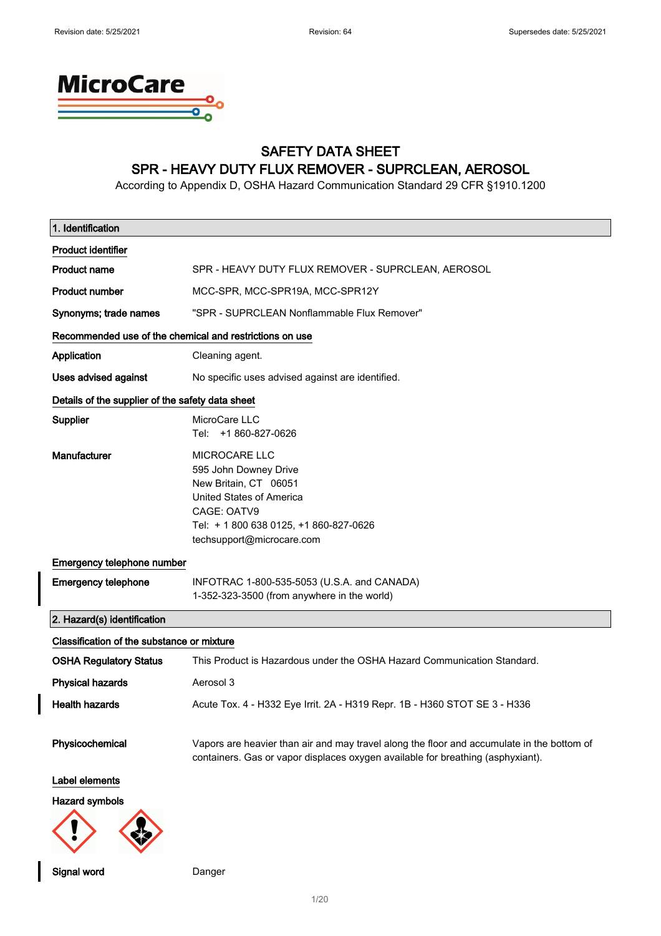

## SAFETY DATA SHEET SPR - HEAVY DUTY FLUX REMOVER - SUPRCLEAN, AEROSOL

According to Appendix D, OSHA Hazard Communication Standard 29 CFR §1910.1200

| 1. Identification                                       |                                                                                                                                                                                          |
|---------------------------------------------------------|------------------------------------------------------------------------------------------------------------------------------------------------------------------------------------------|
| <b>Product identifier</b>                               |                                                                                                                                                                                          |
| <b>Product name</b>                                     | SPR - HEAVY DUTY FLUX REMOVER - SUPRCLEAN, AEROSOL                                                                                                                                       |
| <b>Product number</b>                                   | MCC-SPR, MCC-SPR19A, MCC-SPR12Y                                                                                                                                                          |
| Synonyms; trade names                                   | "SPR - SUPRCLEAN Nonflammable Flux Remover"                                                                                                                                              |
| Recommended use of the chemical and restrictions on use |                                                                                                                                                                                          |
| Application                                             | Cleaning agent.                                                                                                                                                                          |
| <b>Uses advised against</b>                             | No specific uses advised against are identified.                                                                                                                                         |
| Details of the supplier of the safety data sheet        |                                                                                                                                                                                          |
| Supplier                                                | MicroCare LLC<br>Tel: +1 860-827-0626                                                                                                                                                    |
| Manufacturer                                            | <b>MICROCARE LLC</b><br>595 John Downey Drive<br>New Britain, CT 06051<br>United States of America<br>CAGE: OATV9<br>Tel: + 1 800 638 0125, +1 860-827-0626<br>techsupport@microcare.com |
| Emergency telephone number                              |                                                                                                                                                                                          |
| <b>Emergency telephone</b>                              | INFOTRAC 1-800-535-5053 (U.S.A. and CANADA)<br>1-352-323-3500 (from anywhere in the world)                                                                                               |
| 2. Hazard(s) identification                             |                                                                                                                                                                                          |
| Classification of the substance or mixture              |                                                                                                                                                                                          |
| <b>OSHA Regulatory Status</b>                           | This Product is Hazardous under the OSHA Hazard Communication Standard.                                                                                                                  |
| <b>Physical hazards</b>                                 | Aerosol 3                                                                                                                                                                                |
| <b>Health hazards</b>                                   | Acute Tox. 4 - H332 Eye Irrit. 2A - H319 Repr. 1B - H360 STOT SE 3 - H336                                                                                                                |
| Physicochemical                                         | Vapors are heavier than air and may travel along the floor and accumulate in the bottom of<br>containers. Gas or vapor displaces oxygen available for breathing (asphyxiant).            |
| Label elements                                          |                                                                                                                                                                                          |
| <b>Hazard symbols</b>                                   |                                                                                                                                                                                          |
|                                                         |                                                                                                                                                                                          |

Signal word Danger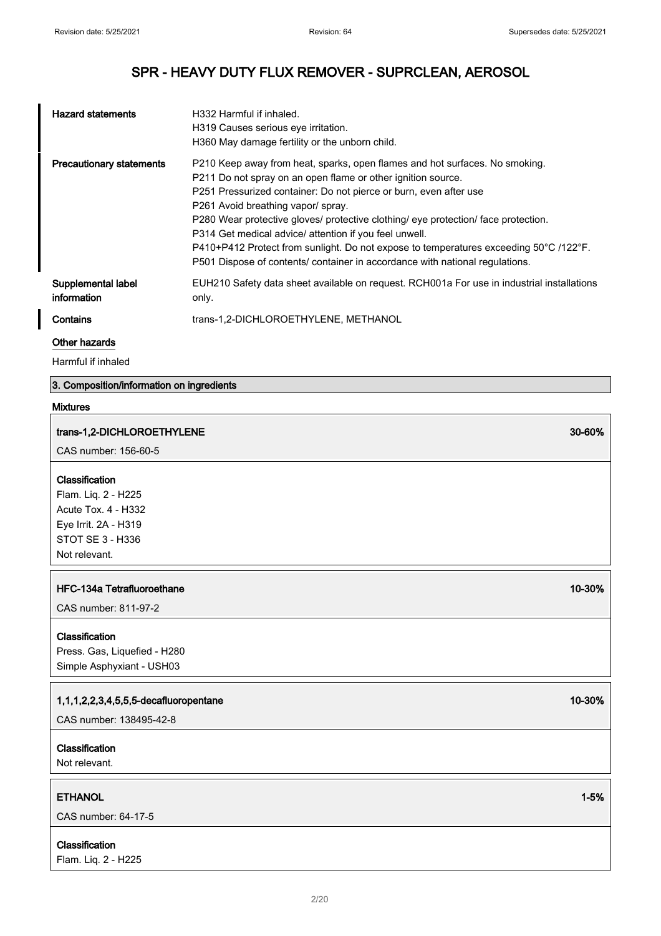| <b>Hazard statements</b>          | H332 Harmful if inhaled.<br>H319 Causes serious eye irritation.<br>H360 May damage fertility or the unborn child.                                                                                                                                                                                                                                                                                                                                                                                                                                                               |
|-----------------------------------|---------------------------------------------------------------------------------------------------------------------------------------------------------------------------------------------------------------------------------------------------------------------------------------------------------------------------------------------------------------------------------------------------------------------------------------------------------------------------------------------------------------------------------------------------------------------------------|
| <b>Precautionary statements</b>   | P210 Keep away from heat, sparks, open flames and hot surfaces. No smoking.<br>P211 Do not spray on an open flame or other ignition source.<br>P251 Pressurized container: Do not pierce or burn, even after use<br>P261 Avoid breathing vapor/ spray.<br>P280 Wear protective gloves/ protective clothing/ eye protection/ face protection.<br>P314 Get medical advice/ attention if you feel unwell.<br>P410+P412 Protect from sunlight. Do not expose to temperatures exceeding 50°C /122°F.<br>P501 Dispose of contents/ container in accordance with national regulations. |
| Supplemental label<br>information | EUH210 Safety data sheet available on request. RCH001a For use in industrial installations<br>only.                                                                                                                                                                                                                                                                                                                                                                                                                                                                             |
| Contains                          | trans-1,2-DICHLOROETHYLENE, METHANOL                                                                                                                                                                                                                                                                                                                                                                                                                                                                                                                                            |

#### Other hazards

Harmful if inhaled

## 3. Composition/information on ingredients

## Mixtures

# trans-1,2-DICHLOROETHYLENE 30-60% CAS number: 156-60-5 Classification Flam. Liq. 2 - H225 Acute Tox. 4 - H332 Eye Irrit. 2A - H319 STOT SE 3 - H336 Not relevant. HFC-134a Tetrafluoroethane 10-30% CAS number: 811-97-2 Classification Press. Gas, Liquefied - H280 Simple Asphyxiant - USH03 1,1,1,2,2,3,4,5,5,5-decafluoropentane 10-30% CAS number: 138495-42-8 Classification Not relevant.

ETHANOL 1-5%

CAS number: 64-17-5

## Classification

Flam. Liq. 2 - H225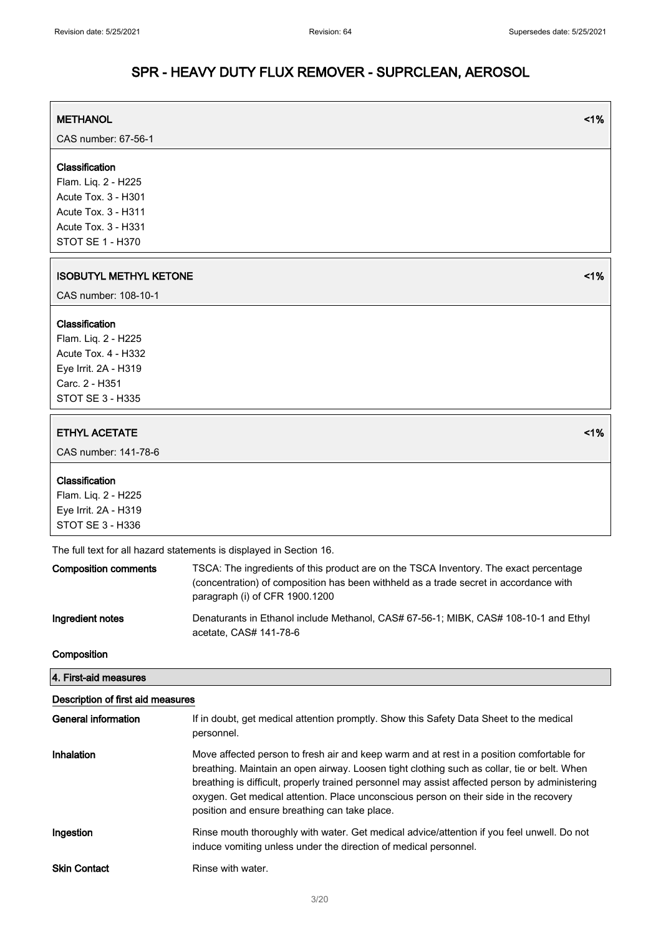| <b>METHANOL</b>               | 1%                                                                                                                      |
|-------------------------------|-------------------------------------------------------------------------------------------------------------------------|
| CAS number: 67-56-1           |                                                                                                                         |
|                               |                                                                                                                         |
| Classification                |                                                                                                                         |
| Flam. Liq. 2 - H225           |                                                                                                                         |
| Acute Tox. 3 - H301           |                                                                                                                         |
| <b>Acute Tox. 3 - H311</b>    |                                                                                                                         |
| Acute Tox. 3 - H331           |                                                                                                                         |
| STOT SE 1 - H370              |                                                                                                                         |
| <b>ISOBUTYL METHYL KETONE</b> | 1%                                                                                                                      |
| CAS number: 108-10-1          |                                                                                                                         |
| Classification                |                                                                                                                         |
| Flam. Liq. 2 - H225           |                                                                                                                         |
| <b>Acute Tox. 4 - H332</b>    |                                                                                                                         |
| Eye Irrit. 2A - H319          |                                                                                                                         |
| Carc. 2 - H351                |                                                                                                                         |
| <b>STOT SE 3 - H335</b>       |                                                                                                                         |
| <b>ETHYL ACETATE</b>          | 1%                                                                                                                      |
| CAS number: 141-78-6          |                                                                                                                         |
| Classification                |                                                                                                                         |
| Flam. Liq. 2 - H225           |                                                                                                                         |
| Eye Irrit. 2A - H319          |                                                                                                                         |
| STOT SE 3 - H336              |                                                                                                                         |
|                               | The full text for all hazard statements is displayed in Section 16.                                                     |
| <b>Composition comments</b>   | TSCA: The ingredients of this product are on the TSCA Inventory. The exact percentage                                   |
|                               | (concentration) of composition has been withheld as a trade secret in accordance with<br>paragraph (i) of CFR 1900.1200 |
| Ingredient notes              | Denaturants in Ethanol include Methanol, CAS# 67-56-1; MIBK, CAS# 108-10-1 and Ethyl<br>acetate, CAS# 141-78-6          |

Composition

4. First-aid measures

## Description of first aid measures

| <b>General information</b> | If in doubt, get medical attention promptly. Show this Safety Data Sheet to the medical<br>personnel.                                                                                                                                                                                                                                                                                                                                |
|----------------------------|--------------------------------------------------------------------------------------------------------------------------------------------------------------------------------------------------------------------------------------------------------------------------------------------------------------------------------------------------------------------------------------------------------------------------------------|
| Inhalation                 | Move affected person to fresh air and keep warm and at rest in a position comfortable for<br>breathing. Maintain an open airway. Loosen tight clothing such as collar, tie or belt. When<br>breathing is difficult, properly trained personnel may assist affected person by administering<br>oxygen. Get medical attention. Place unconscious person on their side in the recovery<br>position and ensure breathing can take place. |
| Ingestion                  | Rinse mouth thoroughly with water. Get medical advice/attention if you feel unwell. Do not<br>induce vomiting unless under the direction of medical personnel.                                                                                                                                                                                                                                                                       |
| <b>Skin Contact</b>        | Rinse with water.                                                                                                                                                                                                                                                                                                                                                                                                                    |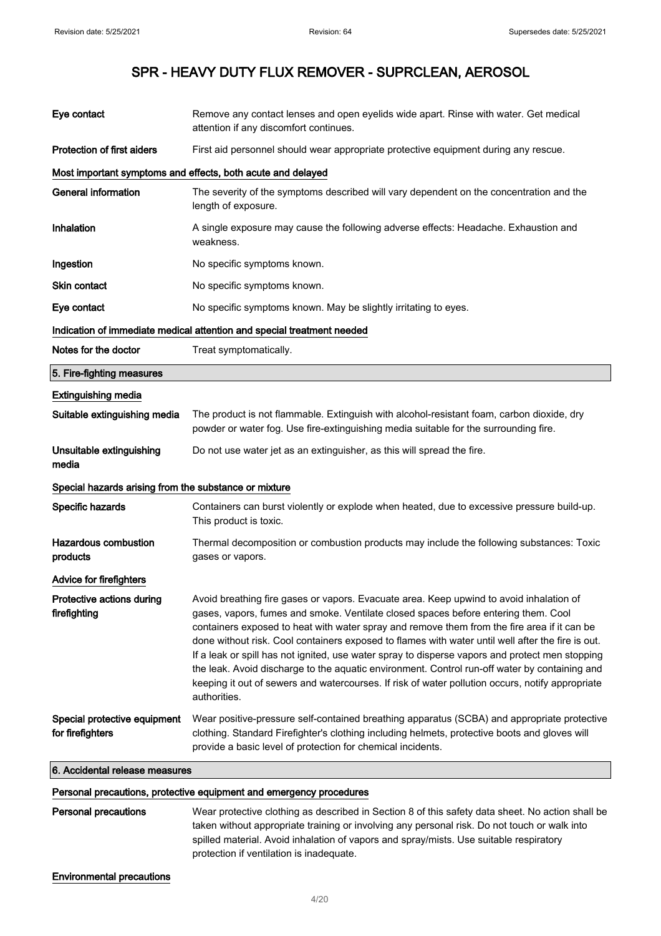| Eye contact                                           | Remove any contact lenses and open eyelids wide apart. Rinse with water. Get medical<br>attention if any discomfort continues.                                                                                                                                                                                                                                                                                                                                                                                                                                                                                                                                                                            |  |
|-------------------------------------------------------|-----------------------------------------------------------------------------------------------------------------------------------------------------------------------------------------------------------------------------------------------------------------------------------------------------------------------------------------------------------------------------------------------------------------------------------------------------------------------------------------------------------------------------------------------------------------------------------------------------------------------------------------------------------------------------------------------------------|--|
| <b>Protection of first aiders</b>                     | First aid personnel should wear appropriate protective equipment during any rescue.                                                                                                                                                                                                                                                                                                                                                                                                                                                                                                                                                                                                                       |  |
|                                                       | Most important symptoms and effects, both acute and delayed                                                                                                                                                                                                                                                                                                                                                                                                                                                                                                                                                                                                                                               |  |
| <b>General information</b>                            | The severity of the symptoms described will vary dependent on the concentration and the<br>length of exposure.                                                                                                                                                                                                                                                                                                                                                                                                                                                                                                                                                                                            |  |
| Inhalation                                            | A single exposure may cause the following adverse effects: Headache. Exhaustion and<br>weakness.                                                                                                                                                                                                                                                                                                                                                                                                                                                                                                                                                                                                          |  |
| Ingestion                                             | No specific symptoms known.                                                                                                                                                                                                                                                                                                                                                                                                                                                                                                                                                                                                                                                                               |  |
| Skin contact                                          | No specific symptoms known.                                                                                                                                                                                                                                                                                                                                                                                                                                                                                                                                                                                                                                                                               |  |
| Eye contact                                           | No specific symptoms known. May be slightly irritating to eyes.                                                                                                                                                                                                                                                                                                                                                                                                                                                                                                                                                                                                                                           |  |
|                                                       | Indication of immediate medical attention and special treatment needed                                                                                                                                                                                                                                                                                                                                                                                                                                                                                                                                                                                                                                    |  |
| Notes for the doctor                                  | Treat symptomatically.                                                                                                                                                                                                                                                                                                                                                                                                                                                                                                                                                                                                                                                                                    |  |
| 5. Fire-fighting measures                             |                                                                                                                                                                                                                                                                                                                                                                                                                                                                                                                                                                                                                                                                                                           |  |
| <b>Extinguishing media</b>                            |                                                                                                                                                                                                                                                                                                                                                                                                                                                                                                                                                                                                                                                                                                           |  |
| Suitable extinguishing media                          | The product is not flammable. Extinguish with alcohol-resistant foam, carbon dioxide, dry<br>powder or water fog. Use fire-extinguishing media suitable for the surrounding fire.                                                                                                                                                                                                                                                                                                                                                                                                                                                                                                                         |  |
| Unsuitable extinguishing<br>media                     | Do not use water jet as an extinguisher, as this will spread the fire.                                                                                                                                                                                                                                                                                                                                                                                                                                                                                                                                                                                                                                    |  |
| Special hazards arising from the substance or mixture |                                                                                                                                                                                                                                                                                                                                                                                                                                                                                                                                                                                                                                                                                                           |  |
| Specific hazards                                      | Containers can burst violently or explode when heated, due to excessive pressure build-up.<br>This product is toxic.                                                                                                                                                                                                                                                                                                                                                                                                                                                                                                                                                                                      |  |
| <b>Hazardous combustion</b><br>products               | Thermal decomposition or combustion products may include the following substances: Toxic<br>gases or vapors.                                                                                                                                                                                                                                                                                                                                                                                                                                                                                                                                                                                              |  |
| <b>Advice for firefighters</b>                        |                                                                                                                                                                                                                                                                                                                                                                                                                                                                                                                                                                                                                                                                                                           |  |
| Protective actions during<br>firefighting             | Avoid breathing fire gases or vapors. Evacuate area. Keep upwind to avoid inhalation of<br>gases, vapors, fumes and smoke. Ventilate closed spaces before entering them. Cool<br>containers exposed to heat with water spray and remove them from the fire area if it can be<br>done without risk. Cool containers exposed to flames with water until well after the fire is out.<br>If a leak or spill has not ignited, use water spray to disperse vapors and protect men stopping<br>the leak. Avoid discharge to the aquatic environment. Control run-off water by containing and<br>keeping it out of sewers and watercourses. If risk of water pollution occurs, notify appropriate<br>authorities. |  |
| Special protective equipment<br>for firefighters      | Wear positive-pressure self-contained breathing apparatus (SCBA) and appropriate protective<br>clothing. Standard Firefighter's clothing including helmets, protective boots and gloves will<br>provide a basic level of protection for chemical incidents.                                                                                                                                                                                                                                                                                                                                                                                                                                               |  |
| 6. Accidental release measures                        |                                                                                                                                                                                                                                                                                                                                                                                                                                                                                                                                                                                                                                                                                                           |  |
|                                                       | Personal precautions, protective equipment and emergency procedures                                                                                                                                                                                                                                                                                                                                                                                                                                                                                                                                                                                                                                       |  |
| <b>Personal precautions</b>                           | Wear protective clothing as described in Section 8 of this safety data sheet. No action shall be<br>taken without appropriate training or involving any personal risk. Do not touch or walk into<br>spilled material. Avoid inhalation of vapors and spray/mists. Use suitable respiratory<br>protection if ventilation is inadequate.                                                                                                                                                                                                                                                                                                                                                                    |  |
| <b>Environmental precautions</b>                      |                                                                                                                                                                                                                                                                                                                                                                                                                                                                                                                                                                                                                                                                                                           |  |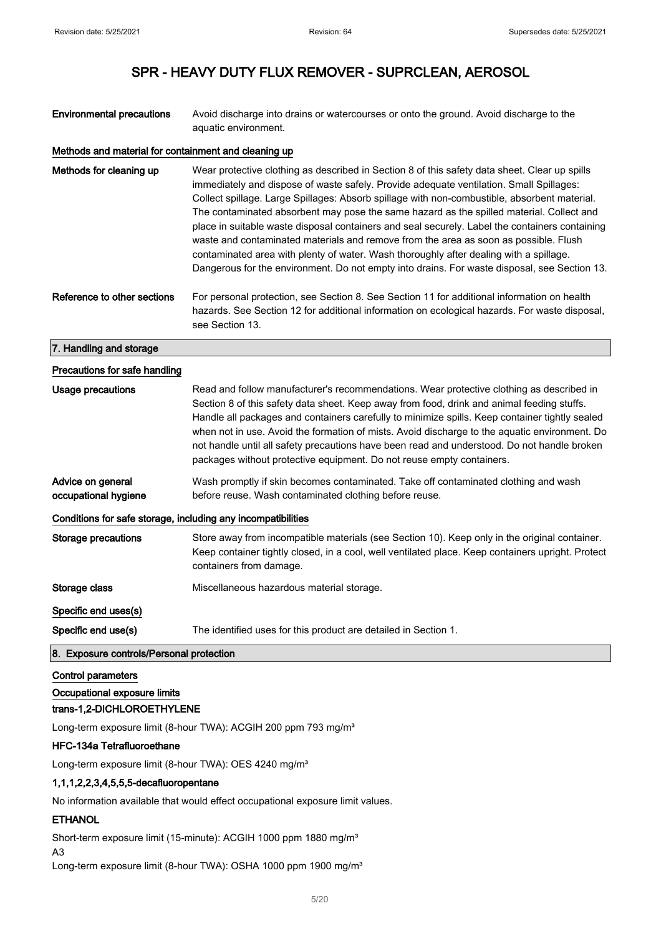$\overline{\phantom{a}}$ 

## SPR - HEAVY DUTY FLUX REMOVER - SUPRCLEAN, AEROSOL

Environmental precautions Avoid discharge into drains or watercourses or onto the ground. Avoid discharge to the aquatic environment.

#### Methods and material for containment and cleaning up

| Methods for cleaning up       | Wear protective clothing as described in Section 8 of this safety data sheet. Clear up spills<br>immediately and dispose of waste safely. Provide adequate ventilation. Small Spillages:<br>Collect spillage. Large Spillages: Absorb spillage with non-combustible, absorbent material.<br>The contaminated absorbent may pose the same hazard as the spilled material. Collect and<br>place in suitable waste disposal containers and seal securely. Label the containers containing<br>waste and contaminated materials and remove from the area as soon as possible. Flush<br>contaminated area with plenty of water. Wash thoroughly after dealing with a spillage.<br>Dangerous for the environment. Do not empty into drains. For waste disposal, see Section 13. |
|-------------------------------|--------------------------------------------------------------------------------------------------------------------------------------------------------------------------------------------------------------------------------------------------------------------------------------------------------------------------------------------------------------------------------------------------------------------------------------------------------------------------------------------------------------------------------------------------------------------------------------------------------------------------------------------------------------------------------------------------------------------------------------------------------------------------|
| Reference to other sections   | For personal protection, see Section 8. See Section 11 for additional information on health<br>hazards. See Section 12 for additional information on ecological hazards. For waste disposal,<br>see Section 13.                                                                                                                                                                                                                                                                                                                                                                                                                                                                                                                                                          |
| 7. Handling and storage       |                                                                                                                                                                                                                                                                                                                                                                                                                                                                                                                                                                                                                                                                                                                                                                          |
| Precautions for safe handling |                                                                                                                                                                                                                                                                                                                                                                                                                                                                                                                                                                                                                                                                                                                                                                          |

| Usage precautions                                            | Read and follow manufacturer's recommendations. Wear protective clothing as described in<br>Section 8 of this safety data sheet. Keep away from food, drink and animal feeding stuffs.<br>Handle all packages and containers carefully to minimize spills. Keep container tightly sealed<br>when not in use. Avoid the formation of mists. Avoid discharge to the aquatic environment. Do<br>not handle until all safety precautions have been read and understood. Do not handle broken<br>packages without protective equipment. Do not reuse empty containers. |  |
|--------------------------------------------------------------|-------------------------------------------------------------------------------------------------------------------------------------------------------------------------------------------------------------------------------------------------------------------------------------------------------------------------------------------------------------------------------------------------------------------------------------------------------------------------------------------------------------------------------------------------------------------|--|
| Advice on general<br>occupational hygiene                    | Wash promptly if skin becomes contaminated. Take off contaminated clothing and wash<br>before reuse. Wash contaminated clothing before reuse.                                                                                                                                                                                                                                                                                                                                                                                                                     |  |
| Conditions for safe storage, including any incompatibilities |                                                                                                                                                                                                                                                                                                                                                                                                                                                                                                                                                                   |  |
| Storage precautions                                          | Store away from incompatible materials (see Section 10). Keep only in the original container.<br>Keep container tightly closed, in a cool, well ventilated place. Keep containers upright. Protect<br>containers from damage.                                                                                                                                                                                                                                                                                                                                     |  |
| Storage class                                                | Miscellaneous hazardous material storage.                                                                                                                                                                                                                                                                                                                                                                                                                                                                                                                         |  |
| Specific end uses(s)                                         |                                                                                                                                                                                                                                                                                                                                                                                                                                                                                                                                                                   |  |
| Specific end use(s)                                          | The identified uses for this product are detailed in Section 1.                                                                                                                                                                                                                                                                                                                                                                                                                                                                                                   |  |
| 8. Exposure controls/Personal protection                     |                                                                                                                                                                                                                                                                                                                                                                                                                                                                                                                                                                   |  |

#### Control parameters

Occupational exposure limits

#### trans-1,2-DICHLOROETHYLENE

Long-term exposure limit (8-hour TWA): ACGIH 200 ppm 793 mg/m<sup>3</sup>

#### HFC-134a Tetrafluoroethane

Long-term exposure limit (8-hour TWA): OES 4240 mg/m<sup>3</sup>

#### 1,1,1,2,2,3,4,5,5,5-decafluoropentane

No information available that would effect occupational exposure limit values.

#### ETHANOL

Short-term exposure limit (15-minute): ACGIH 1000 ppm 1880 mg/m<sup>3</sup>

A3

Long-term exposure limit (8-hour TWA): OSHA 1000 ppm 1900 mg/m<sup>3</sup>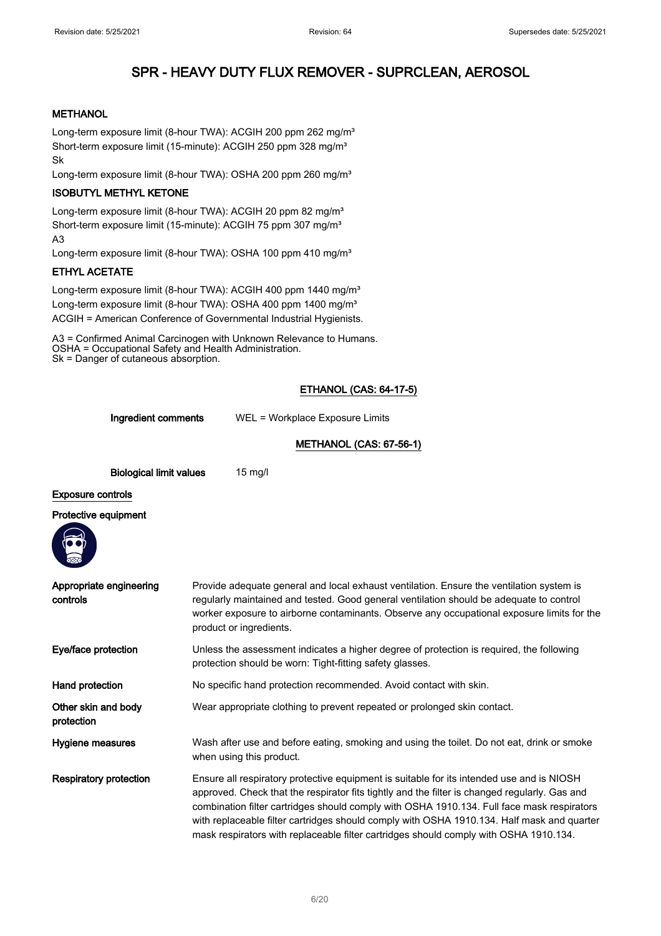### **METHANOL**

Long-term exposure limit (8-hour TWA): ACGIH 200 ppm 262 mg/m<sup>3</sup> Short-term exposure limit (15-minute): ACGIH 250 ppm 328 mg/m<sup>3</sup> Sk

Long-term exposure limit (8-hour TWA): OSHA 200 ppm 260 mg/m<sup>3</sup>

### ISOBUTYL METHYL KETONE

Long-term exposure limit (8-hour TWA): ACGIH 20 ppm 82 mg/m<sup>3</sup> Short-term exposure limit (15-minute): ACGIH 75 ppm 307 mg/m<sup>3</sup> A3

Long-term exposure limit (8-hour TWA): OSHA 100 ppm 410 mg/m<sup>3</sup>

### ETHYL ACETATE

Long-term exposure limit (8-hour TWA): ACGIH 400 ppm 1440 mg/m<sup>3</sup> Long-term exposure limit (8-hour TWA): OSHA 400 ppm 1400 mg/m<sup>3</sup> ACGIH = American Conference of Governmental Industrial Hygienists.

A3 = Confirmed Animal Carcinogen with Unknown Relevance to Humans. OSHA = Occupational Safety and Health Administration. Sk = Danger of cutaneous absorption.

## ETHANOL (CAS: 64-17-5)

Ingredient comments WEL = Workplace Exposure Limits

## METHANOL (CAS: 67-56-1)

| <b>Biological limit values</b> | $15 \text{ mg/l}$ |
|--------------------------------|-------------------|
|                                |                   |

## Exposure controls

#### Protective equipment



| Appropriate engineering<br>controls | Provide adequate general and local exhaust ventilation. Ensure the ventilation system is<br>regularly maintained and tested. Good general ventilation should be adequate to control<br>worker exposure to airborne contaminants. Observe any occupational exposure limits for the<br>product or ingredients.                                                                                                                                                                    |
|-------------------------------------|---------------------------------------------------------------------------------------------------------------------------------------------------------------------------------------------------------------------------------------------------------------------------------------------------------------------------------------------------------------------------------------------------------------------------------------------------------------------------------|
| Eye/face protection                 | Unless the assessment indicates a higher degree of protection is required, the following<br>protection should be worn: Tight-fitting safety glasses.                                                                                                                                                                                                                                                                                                                            |
| Hand protection                     | No specific hand protection recommended. Avoid contact with skin.                                                                                                                                                                                                                                                                                                                                                                                                               |
| Other skin and body<br>protection   | Wear appropriate clothing to prevent repeated or prolonged skin contact.                                                                                                                                                                                                                                                                                                                                                                                                        |
| Hygiene measures                    | Wash after use and before eating, smoking and using the toilet. Do not eat, drink or smoke<br>when using this product.                                                                                                                                                                                                                                                                                                                                                          |
| <b>Respiratory protection</b>       | Ensure all respiratory protective equipment is suitable for its intended use and is NIOSH<br>approved. Check that the respirator fits tightly and the filter is changed regularly. Gas and<br>combination filter cartridges should comply with OSHA 1910.134. Full face mask respirators<br>with replaceable filter cartridges should comply with OSHA 1910.134. Half mask and quarter<br>mask respirators with replaceable filter cartridges should comply with OSHA 1910.134. |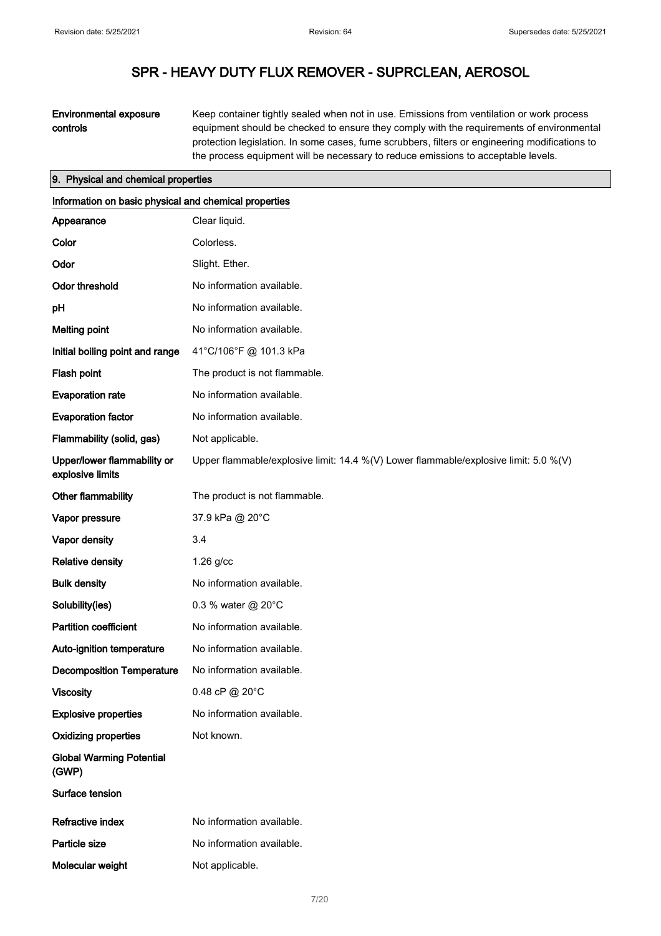## Environmental exposure controls

Keep container tightly sealed when not in use. Emissions from ventilation or work process equipment should be checked to ensure they comply with the requirements of environmental protection legislation. In some cases, fume scrubbers, filters or engineering modifications to the process equipment will be necessary to reduce emissions to acceptable levels.

#### 9. Physical and chemical properties

| Information on basic physical and chemical properties |                                                                                      |
|-------------------------------------------------------|--------------------------------------------------------------------------------------|
| Appearance                                            | Clear liquid.                                                                        |
| Color                                                 | Colorless.                                                                           |
| Odor                                                  | Slight. Ether.                                                                       |
| <b>Odor threshold</b>                                 | No information available.                                                            |
| pH                                                    | No information available.                                                            |
| <b>Melting point</b>                                  | No information available.                                                            |
| Initial boiling point and range                       | 41°C/106°F @ 101.3 kPa                                                               |
| Flash point                                           | The product is not flammable.                                                        |
| <b>Evaporation rate</b>                               | No information available.                                                            |
| <b>Evaporation factor</b>                             | No information available.                                                            |
| Flammability (solid, gas)                             | Not applicable.                                                                      |
| Upper/lower flammability or<br>explosive limits       | Upper flammable/explosive limit: 14.4 %(V) Lower flammable/explosive limit: 5.0 %(V) |
| Other flammability                                    | The product is not flammable.                                                        |
| Vapor pressure                                        | 37.9 kPa @ 20°C                                                                      |
| Vapor density                                         | 3.4                                                                                  |
| <b>Relative density</b>                               | $1.26$ g/cc                                                                          |
| <b>Bulk density</b>                                   | No information available.                                                            |
| Solubility(ies)                                       | 0.3 % water @ 20°C                                                                   |
| <b>Partition coefficient</b>                          | No information available.                                                            |
| Auto-ignition temperature                             | No information available.                                                            |
| <b>Decomposition Temperature</b>                      | No information available.                                                            |
| <b>Viscosity</b>                                      | 0.48 cP @ 20°C                                                                       |
| <b>Explosive properties</b>                           | No information available.                                                            |
| <b>Oxidizing properties</b>                           | Not known.                                                                           |
| <b>Global Warming Potential</b><br>(GWP)              |                                                                                      |
| Surface tension                                       |                                                                                      |
| <b>Refractive index</b>                               | No information available.                                                            |
| Particle size                                         | No information available.                                                            |
| Molecular weight                                      | Not applicable.                                                                      |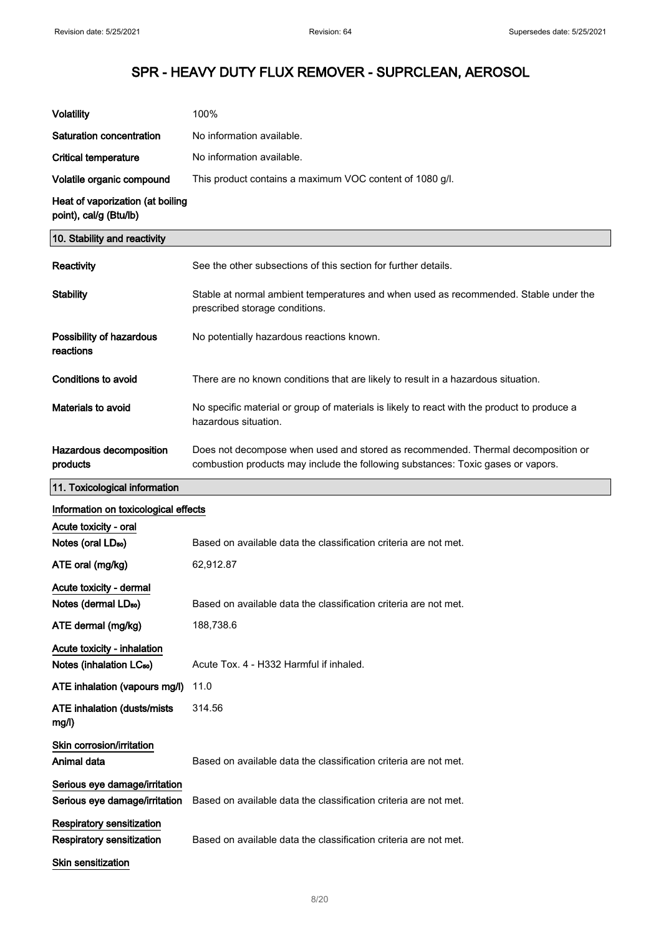| <b>Volatility</b>                                                                                 | 100%                                                                                                                                                                 |
|---------------------------------------------------------------------------------------------------|----------------------------------------------------------------------------------------------------------------------------------------------------------------------|
| Saturation concentration                                                                          | No information available.                                                                                                                                            |
| <b>Critical temperature</b>                                                                       | No information available.                                                                                                                                            |
| Volatile organic compound                                                                         | This product contains a maximum VOC content of 1080 g/l.                                                                                                             |
| Heat of vaporization (at boiling<br>point), cal/g (Btu/lb)                                        |                                                                                                                                                                      |
| 10. Stability and reactivity                                                                      |                                                                                                                                                                      |
| Reactivity                                                                                        | See the other subsections of this section for further details.                                                                                                       |
| <b>Stability</b>                                                                                  | Stable at normal ambient temperatures and when used as recommended. Stable under the<br>prescribed storage conditions.                                               |
| Possibility of hazardous<br>reactions                                                             | No potentially hazardous reactions known.                                                                                                                            |
| <b>Conditions to avoid</b>                                                                        | There are no known conditions that are likely to result in a hazardous situation.                                                                                    |
| Materials to avoid                                                                                | No specific material or group of materials is likely to react with the product to produce a<br>hazardous situation.                                                  |
| Hazardous decomposition<br>products                                                               | Does not decompose when used and stored as recommended. Thermal decomposition or<br>combustion products may include the following substances: Toxic gases or vapors. |
| 11. Toxicological information                                                                     |                                                                                                                                                                      |
| Information on toxicological effects                                                              |                                                                                                                                                                      |
| Acute toxicity - oral<br>Notes (oral LD <sub>50</sub> )                                           | Based on available data the classification criteria are not met.                                                                                                     |
| ATE oral (mg/kg)                                                                                  | 62,912.87                                                                                                                                                            |
| Acute toxicity - dermal                                                                           |                                                                                                                                                                      |
| Notes (dermal LD <sub>50</sub> )                                                                  | Based on available data the classification criteria are not met.                                                                                                     |
| ATE dermal (mg/kg)                                                                                | 188,738.6                                                                                                                                                            |
| Acute toxicity - inhalation<br>Notes (inhalation LC <sub>50</sub> )                               | Acute Tox. 4 - H332 Harmful if inhaled.                                                                                                                              |
| ATE inhalation (vapours mg/l)                                                                     | 11.0                                                                                                                                                                 |
| <b>ATE inhalation (dusts/mists)</b><br>mg/l)                                                      | 314.56                                                                                                                                                               |
| Skin corrosion/irritation<br>Animal data                                                          | Based on available data the classification criteria are not met.                                                                                                     |
| Serious eye damage/irritation<br>Serious eye damage/irritation                                    | Based on available data the classification criteria are not met.                                                                                                     |
| <b>Respiratory sensitization</b><br><b>Respiratory sensitization</b><br><b>Skin sensitization</b> | Based on available data the classification criteria are not met.                                                                                                     |
|                                                                                                   |                                                                                                                                                                      |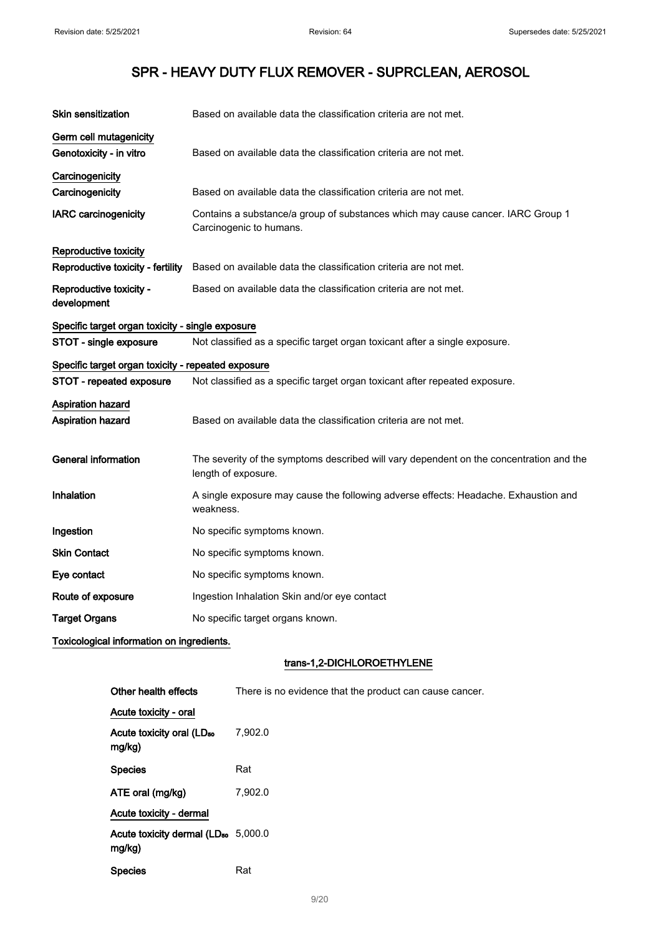| <b>Skin sensitization</b>                          | Based on available data the classification criteria are not met.                                               |
|----------------------------------------------------|----------------------------------------------------------------------------------------------------------------|
| Germ cell mutagenicity<br>Genotoxicity - in vitro  | Based on available data the classification criteria are not met.                                               |
| Carcinogenicity                                    |                                                                                                                |
| Carcinogenicity                                    | Based on available data the classification criteria are not met.                                               |
| <b>IARC</b> carcinogenicity                        | Contains a substance/a group of substances which may cause cancer. IARC Group 1<br>Carcinogenic to humans.     |
| Reproductive toxicity                              |                                                                                                                |
| Reproductive toxicity - fertility                  | Based on available data the classification criteria are not met.                                               |
| Reproductive toxicity -<br>development             | Based on available data the classification criteria are not met.                                               |
| Specific target organ toxicity - single exposure   |                                                                                                                |
| STOT - single exposure                             | Not classified as a specific target organ toxicant after a single exposure.                                    |
| Specific target organ toxicity - repeated exposure |                                                                                                                |
| STOT - repeated exposure                           | Not classified as a specific target organ toxicant after repeated exposure.                                    |
| <b>Aspiration hazard</b>                           |                                                                                                                |
| <b>Aspiration hazard</b>                           | Based on available data the classification criteria are not met.                                               |
| <b>General information</b>                         | The severity of the symptoms described will vary dependent on the concentration and the<br>length of exposure. |
| Inhalation                                         | A single exposure may cause the following adverse effects: Headache. Exhaustion and<br>weakness.               |
| Ingestion                                          | No specific symptoms known.                                                                                    |
| <b>Skin Contact</b>                                | No specific symptoms known.                                                                                    |
| Eye contact                                        | No specific symptoms known.                                                                                    |
| Route of exposure                                  | Ingestion Inhalation Skin and/or eye contact                                                                   |
| <b>Target Organs</b>                               | No specific target organs known.                                                                               |
| Toxicological information on ingredients.          |                                                                                                                |

## trans-1,2-DICHLOROETHYLENE

| Other health effects                                      | There is no evidence that the product can cause cancer. |
|-----------------------------------------------------------|---------------------------------------------------------|
| Acute toxicity - oral                                     |                                                         |
| Acute toxicity oral (LD <sub>50</sub><br>mg/kg)           | 7,902.0                                                 |
| <b>Species</b>                                            | Rat                                                     |
| ATE oral (mg/kg)                                          | 7,902.0                                                 |
| Acute toxicity - dermal                                   |                                                         |
| Acute toxicity dermal (LD <sub>50</sub> 5,000.0<br>mg/kg) |                                                         |
| <b>Species</b>                                            | Rat                                                     |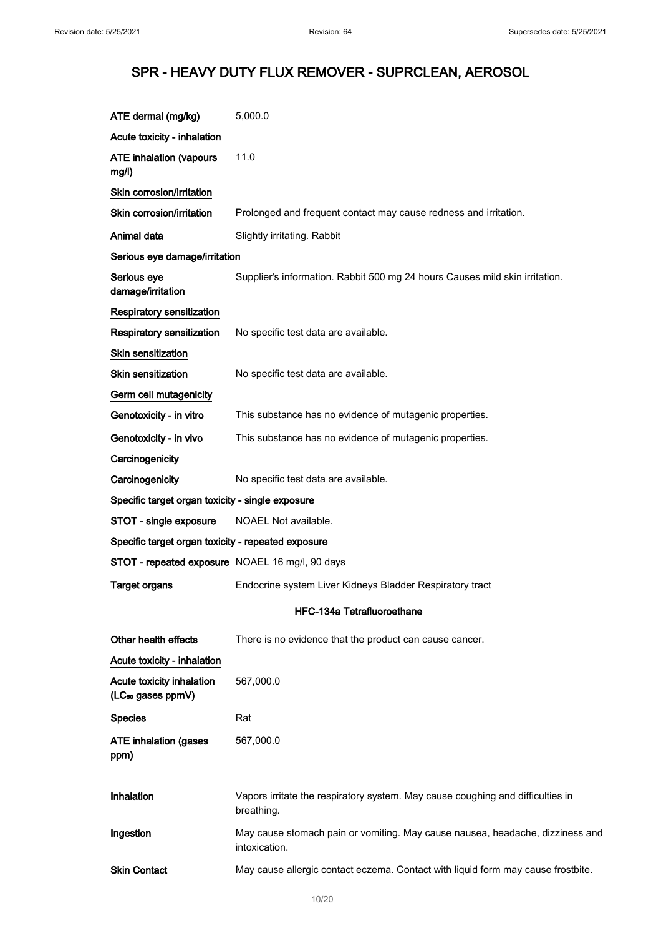| ATE dermal (mg/kg)                                         | 5,000.0                                                                                        |
|------------------------------------------------------------|------------------------------------------------------------------------------------------------|
| Acute toxicity - inhalation                                |                                                                                                |
| <b>ATE inhalation (vapours</b><br>mg/l)                    | 11.0                                                                                           |
| Skin corrosion/irritation                                  |                                                                                                |
| Skin corrosion/irritation                                  | Prolonged and frequent contact may cause redness and irritation.                               |
| Animal data                                                | Slightly irritating. Rabbit                                                                    |
| Serious eye damage/irritation                              |                                                                                                |
| Serious eye<br>damage/irritation                           | Supplier's information. Rabbit 500 mg 24 hours Causes mild skin irritation.                    |
| Respiratory sensitization                                  |                                                                                                |
| <b>Respiratory sensitization</b>                           | No specific test data are available.                                                           |
| <b>Skin sensitization</b>                                  |                                                                                                |
| <b>Skin sensitization</b>                                  | No specific test data are available.                                                           |
| Germ cell mutagenicity                                     |                                                                                                |
| Genotoxicity - in vitro                                    | This substance has no evidence of mutagenic properties.                                        |
| Genotoxicity - in vivo                                     | This substance has no evidence of mutagenic properties.                                        |
| Carcinogenicity                                            |                                                                                                |
| Carcinogenicity                                            | No specific test data are available.                                                           |
| Specific target organ toxicity - single exposure           |                                                                                                |
| STOT - single exposure                                     | NOAEL Not available.                                                                           |
| Specific target organ toxicity - repeated exposure         |                                                                                                |
| STOT - repeated exposure NOAEL 16 mg/l, 90 days            |                                                                                                |
| <b>Target organs</b>                                       | Endocrine system Liver Kidneys Bladder Respiratory tract                                       |
|                                                            | HFC-134a Tetrafluoroethane                                                                     |
| Other health effects                                       | There is no evidence that the product can cause cancer.                                        |
| Acute toxicity - inhalation                                |                                                                                                |
| Acute toxicity inhalation<br>(LC <sub>50</sub> gases ppmV) | 567,000.0                                                                                      |
| <b>Species</b>                                             | Rat                                                                                            |
| <b>ATE inhalation (gases</b><br>ppm)                       | 567,000.0                                                                                      |
|                                                            |                                                                                                |
| Inhalation                                                 | Vapors irritate the respiratory system. May cause coughing and difficulties in<br>breathing.   |
| Ingestion                                                  | May cause stomach pain or vomiting. May cause nausea, headache, dizziness and<br>intoxication. |
| <b>Skin Contact</b>                                        | May cause allergic contact eczema. Contact with liquid form may cause frostbite.               |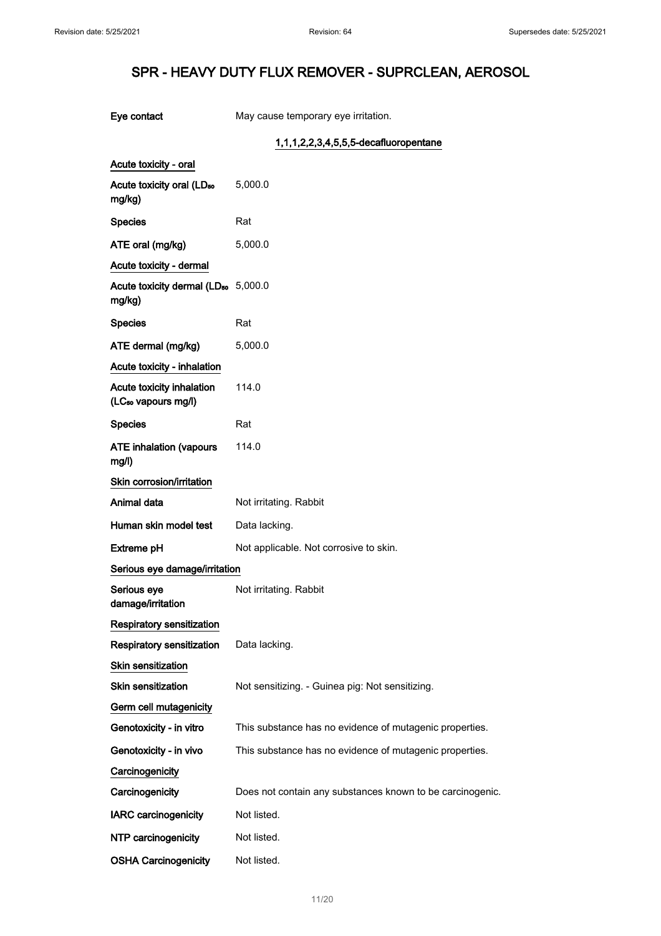|  | Eye contact |
|--|-------------|
|--|-------------|

May cause temporary eye irritation.

## 1,1,1,2,2,3,4,5,5,5-decafluoropentane

| Acute toxicity - oral                                     |                                                           |
|-----------------------------------------------------------|-----------------------------------------------------------|
| Acute toxicity oral (LD <sub>50</sub><br>mg/kg)           | 5,000.0                                                   |
| <b>Species</b>                                            | Rat                                                       |
| ATE oral (mg/kg)                                          | 5,000.0                                                   |
| Acute toxicity - dermal                                   |                                                           |
| Acute toxicity dermal (LD <sub>50</sub> 5,000.0<br>mg/kg) |                                                           |
| <b>Species</b>                                            | Rat                                                       |
| ATE dermal (mg/kg)                                        | 5,000.0                                                   |
| Acute toxicity - inhalation                               |                                                           |
| <b>Acute toxicity inhalation</b><br>(LCst vapours mg/l)   | 114.0                                                     |
| Species                                                   | Rat                                                       |
| <b>ATE inhalation (vapours</b><br>mg/l)                   | 114.0                                                     |
| <b>Skin corrosion/irritation</b>                          |                                                           |
| Animal data                                               | Not irritating. Rabbit                                    |
| Human skin model test                                     | Data lacking.                                             |
| Extreme pH                                                | Not applicable. Not corrosive to skin.                    |
| Serious eye damage/irritation                             |                                                           |
| Serious eye<br>damage/irritation                          | Not irritating. Rabbit                                    |
| <b>Respiratory sensitization</b>                          |                                                           |
| <b>Respiratory sensitization</b>                          | Data lacking.                                             |
| Skin sensitization                                        |                                                           |
| Skin sensitization                                        | Not sensitizing. - Guinea pig: Not sensitizing.           |
| Germ cell mutagenicity                                    |                                                           |
| Genotoxicity - in vitro                                   | This substance has no evidence of mutagenic properties.   |
| Genotoxicity - in vivo                                    | This substance has no evidence of mutagenic properties.   |
| Carcinogenicity                                           |                                                           |
| Carcinogenicity                                           | Does not contain any substances known to be carcinogenic. |
| <b>IARC carcinogenicity</b>                               | Not listed.                                               |
| NTP carcinogenicity                                       | Not listed.                                               |
| <b>OSHA Carcinogenicity</b>                               | Not listed.                                               |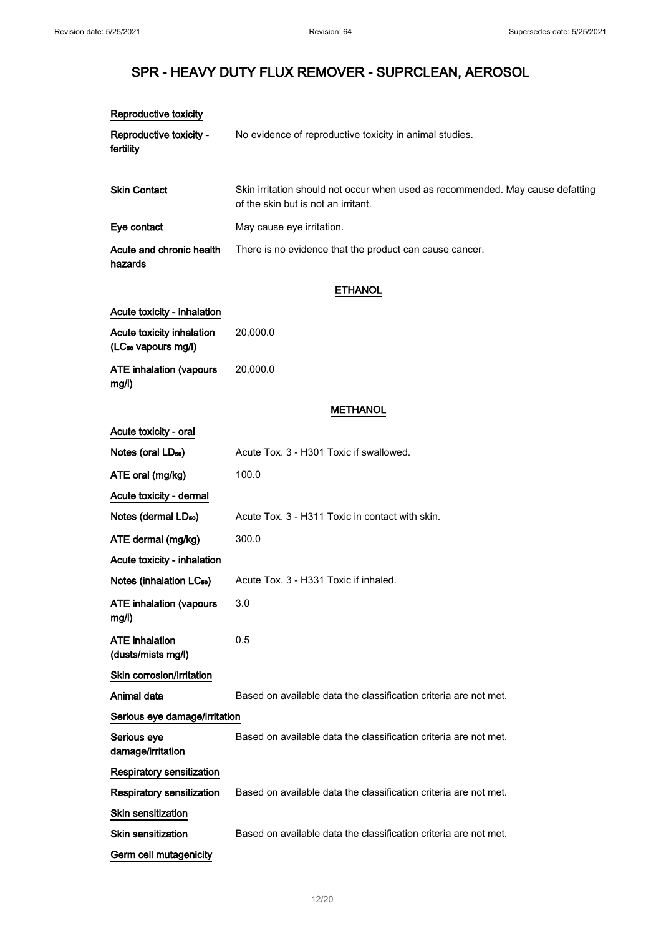| Reproductive toxicity                                        |                                                                                                                       |  |
|--------------------------------------------------------------|-----------------------------------------------------------------------------------------------------------------------|--|
| Reproductive toxicity -<br>fertility                         | No evidence of reproductive toxicity in animal studies.                                                               |  |
| <b>Skin Contact</b>                                          | Skin irritation should not occur when used as recommended. May cause defatting<br>of the skin but is not an irritant. |  |
| Eye contact                                                  | May cause eye irritation.                                                                                             |  |
| Acute and chronic health<br>hazards                          | There is no evidence that the product can cause cancer.                                                               |  |
|                                                              | <b>ETHANOL</b>                                                                                                        |  |
| Acute toxicity - inhalation                                  |                                                                                                                       |  |
| Acute toxicity inhalation<br>(LC <sub>50</sub> vapours mg/l) | 20,000.0                                                                                                              |  |
| <b>ATE inhalation (vapours</b><br>mg/l)                      | 20,000.0                                                                                                              |  |
|                                                              | <b>METHANOL</b>                                                                                                       |  |
| Acute toxicity - oral                                        |                                                                                                                       |  |
| Notes (oral LD <sub>50</sub> )                               | Acute Tox. 3 - H301 Toxic if swallowed.                                                                               |  |
| ATE oral (mg/kg)                                             | 100.0                                                                                                                 |  |
| Acute toxicity - dermal                                      |                                                                                                                       |  |
| Notes (dermal LD <sub>50</sub> )                             | Acute Tox. 3 - H311 Toxic in contact with skin.                                                                       |  |
| ATE dermal (mg/kg)                                           | 300.0                                                                                                                 |  |
| Acute toxicity - inhalation                                  |                                                                                                                       |  |
| Notes (inhalation LC <sub>50</sub> )                         | Acute Tox. 3 - H331 Toxic if inhaled.                                                                                 |  |
| <b>ATE inhalation (vapours</b><br>mg/l)                      | 3.0                                                                                                                   |  |
| <b>ATE</b> inhalation<br>(dusts/mists mg/l)                  | 0.5                                                                                                                   |  |
| Skin corrosion/irritation                                    |                                                                                                                       |  |
| Animal data                                                  | Based on available data the classification criteria are not met.                                                      |  |
| Serious eye damage/irritation                                |                                                                                                                       |  |
| Serious eye<br>damage/irritation                             | Based on available data the classification criteria are not met.                                                      |  |
| Respiratory sensitization                                    |                                                                                                                       |  |
| <b>Respiratory sensitization</b>                             | Based on available data the classification criteria are not met.                                                      |  |
| Skin sensitization                                           |                                                                                                                       |  |
| Skin sensitization                                           | Based on available data the classification criteria are not met.                                                      |  |
| Germ cell mutagenicity                                       |                                                                                                                       |  |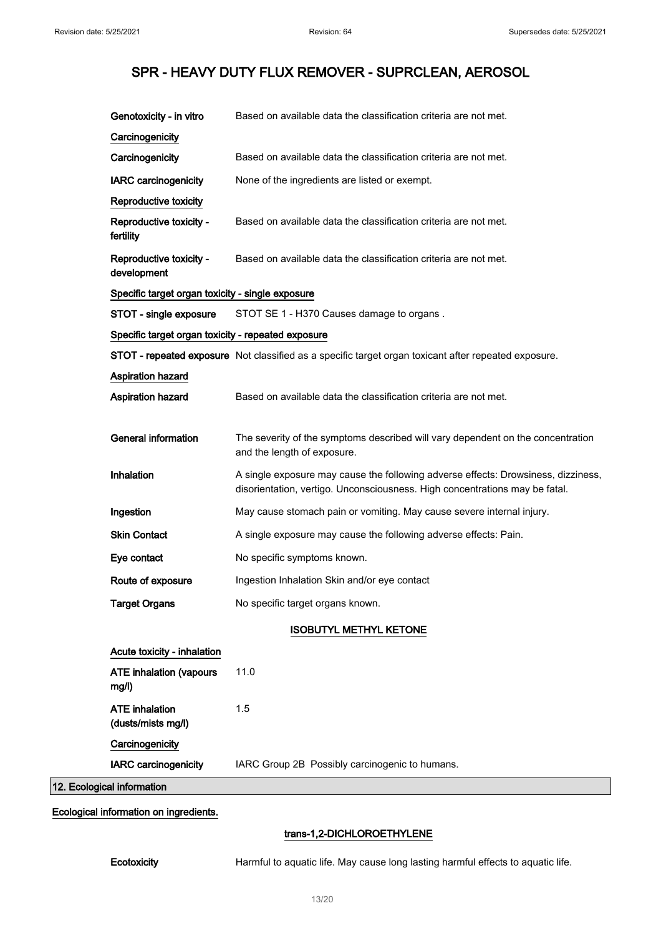| Genotoxicity - in vitro                            | Based on available data the classification criteria are not met.                                                                                                 |
|----------------------------------------------------|------------------------------------------------------------------------------------------------------------------------------------------------------------------|
| Carcinogenicity                                    |                                                                                                                                                                  |
| Carcinogenicity                                    | Based on available data the classification criteria are not met.                                                                                                 |
| <b>IARC carcinogenicity</b>                        | None of the ingredients are listed or exempt.                                                                                                                    |
| Reproductive toxicity                              |                                                                                                                                                                  |
| Reproductive toxicity -<br>fertility               | Based on available data the classification criteria are not met.                                                                                                 |
| Reproductive toxicity -<br>development             | Based on available data the classification criteria are not met.                                                                                                 |
| Specific target organ toxicity - single exposure   |                                                                                                                                                                  |
| STOT - single exposure                             | STOT SE 1 - H370 Causes damage to organs.                                                                                                                        |
| Specific target organ toxicity - repeated exposure |                                                                                                                                                                  |
|                                                    | STOT - repeated exposure Not classified as a specific target organ toxicant after repeated exposure.                                                             |
| Aspiration hazard                                  |                                                                                                                                                                  |
| Aspiration hazard                                  | Based on available data the classification criteria are not met.                                                                                                 |
| <b>General information</b>                         | The severity of the symptoms described will vary dependent on the concentration<br>and the length of exposure.                                                   |
| <b>Inhalation</b>                                  | A single exposure may cause the following adverse effects: Drowsiness, dizziness,<br>disorientation, vertigo. Unconsciousness. High concentrations may be fatal. |
| Ingestion                                          | May cause stomach pain or vomiting. May cause severe internal injury.                                                                                            |
| <b>Skin Contact</b>                                | A single exposure may cause the following adverse effects: Pain.                                                                                                 |
| Eye contact                                        | No specific symptoms known.                                                                                                                                      |
| Route of exposure                                  | Ingestion Inhalation Skin and/or eye contact                                                                                                                     |
| <b>Target Organs</b>                               | No specific target organs known.                                                                                                                                 |
|                                                    | <b>ISOBUTYL METHYL KETONE</b>                                                                                                                                    |
| Acute toxicity - inhalation                        |                                                                                                                                                                  |
| <b>ATE inhalation (vapours</b><br>mg/l)            | 11.0                                                                                                                                                             |
| <b>ATE</b> inhalation<br>(dusts/mists mg/l)        | 1.5                                                                                                                                                              |
| Carcinogenicity                                    |                                                                                                                                                                  |
| <b>IARC carcinogenicity</b>                        | IARC Group 2B Possibly carcinogenic to humans.                                                                                                                   |
| 12. Ecological information                         |                                                                                                                                                                  |
|                                                    |                                                                                                                                                                  |

Ecological information on ingredients.

## trans-1,2-DICHLOROETHYLENE

Ecotoxicity **Harmful to aquatic life. May cause long lasting harmful effects to aquatic life.**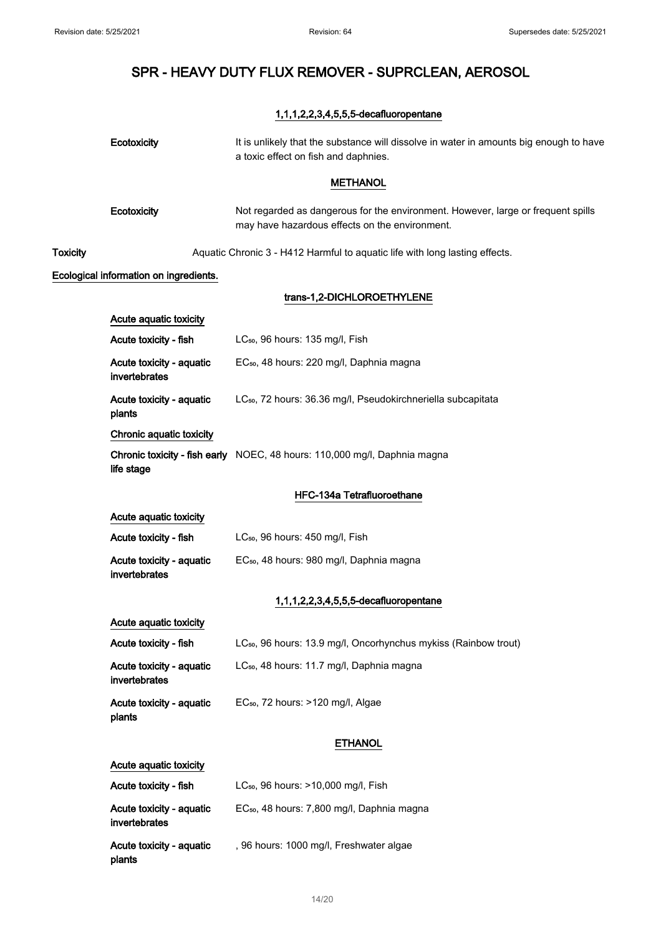## 1,1,1,2,2,3,4,5,5,5-decafluoropentane

|                 | Ecotoxicity                               | It is unlikely that the substance will dissolve in water in amounts big enough to have<br>a toxic effect on fish and daphnies.     |
|-----------------|-------------------------------------------|------------------------------------------------------------------------------------------------------------------------------------|
|                 |                                           | <b>METHANOL</b>                                                                                                                    |
|                 | Ecotoxicity                               | Not regarded as dangerous for the environment. However, large or frequent spills<br>may have hazardous effects on the environment. |
| <b>Toxicity</b> |                                           | Aquatic Chronic 3 - H412 Harmful to aquatic life with long lasting effects.                                                        |
|                 | Ecological information on ingredients.    |                                                                                                                                    |
|                 |                                           | trans-1,2-DICHLOROETHYLENE                                                                                                         |
|                 | Acute aquatic toxicity                    |                                                                                                                                    |
|                 | Acute toxicity - fish                     | LC <sub>50</sub> , 96 hours: 135 mg/l, Fish                                                                                        |
|                 | Acute toxicity - aquatic<br>invertebrates | EC <sub>50</sub> , 48 hours: 220 mg/l, Daphnia magna                                                                               |
|                 | Acute toxicity - aquatic<br>plants        | LC <sub>50</sub> , 72 hours: 36.36 mg/l, Pseudokirchneriella subcapitata                                                           |
|                 | Chronic aquatic toxicity                  |                                                                                                                                    |
|                 | life stage                                | Chronic toxicity - fish early NOEC, 48 hours: 110,000 mg/l, Daphnia magna                                                          |
|                 |                                           | HFC-134a Tetrafluoroethane                                                                                                         |
|                 | Acute aquatic toxicity                    |                                                                                                                                    |
|                 | Acute toxicity - fish                     | LC <sub>50</sub> , 96 hours: 450 mg/l, Fish                                                                                        |
|                 | Acute toxicity - aquatic<br>invertebrates | EC <sub>50</sub> , 48 hours: 980 mg/l, Daphnia magna                                                                               |
|                 |                                           | 1,1,1,2,2,3,4,5,5,5-decafluoropentane                                                                                              |
|                 | Acute aquatic toxicity                    |                                                                                                                                    |
|                 | Acute toxicity - fish                     | LC <sub>50</sub> , 96 hours: 13.9 mg/l, Oncorhynchus mykiss (Rainbow trout)                                                        |
|                 | Acute toxicity - aquatic<br>invertebrates | LC <sub>50</sub> , 48 hours: 11.7 mg/l, Daphnia magna                                                                              |
|                 | Acute toxicity - aquatic<br>plants        | EC <sub>50</sub> , 72 hours: >120 mg/l, Algae                                                                                      |
|                 |                                           | <b>ETHANOL</b>                                                                                                                     |
|                 | Acute aquatic toxicity                    |                                                                                                                                    |
|                 | Acute toxicity - fish                     | LC <sub>50</sub> , 96 hours: >10,000 mg/l, Fish                                                                                    |
|                 | Acute toxicity - aquatic<br>invertebrates | EC <sub>50</sub> , 48 hours: 7,800 mg/l, Daphnia magna                                                                             |
|                 | Acute toxicity - aquatic<br>plants        | , 96 hours: 1000 mg/l, Freshwater algae                                                                                            |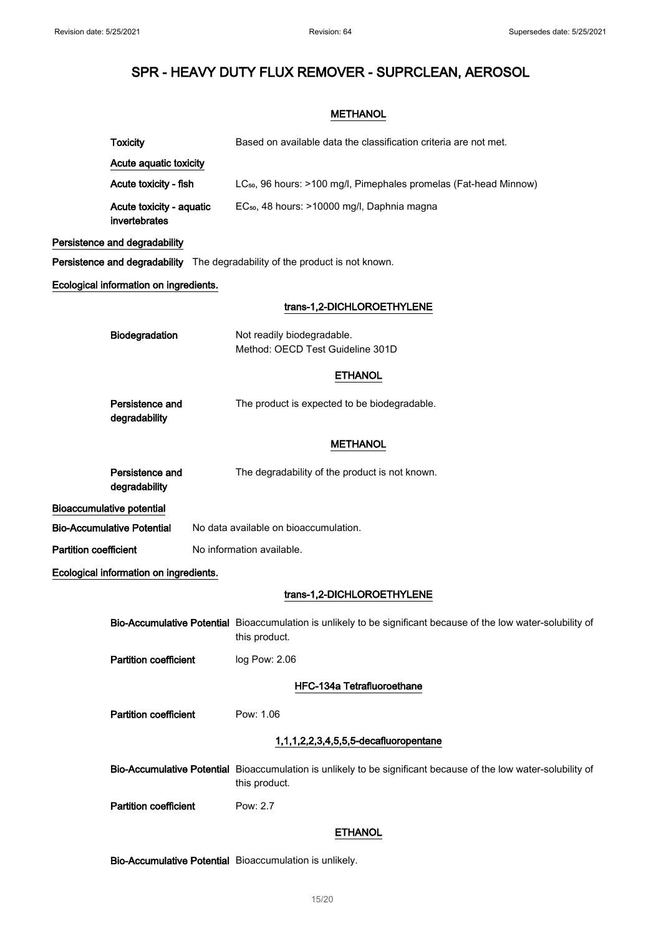## **METHANOL**

|                              | <b>Toxicity</b>                           | Based on available data the classification criteria are not met.                                                                 |
|------------------------------|-------------------------------------------|----------------------------------------------------------------------------------------------------------------------------------|
|                              | Acute aquatic toxicity                    |                                                                                                                                  |
|                              | Acute toxicity - fish                     | LC <sub>50</sub> , 96 hours: >100 mg/l, Pimephales promelas (Fat-head Minnow)                                                    |
|                              | Acute toxicity - aquatic<br>invertebrates | EC <sub>50</sub> , 48 hours: >10000 mg/l, Daphnia magna                                                                          |
|                              | Persistence and degradability             |                                                                                                                                  |
|                              |                                           | Persistence and degradability The degradability of the product is not known.                                                     |
|                              | Ecological information on ingredients.    |                                                                                                                                  |
|                              |                                           | trans-1,2-DICHLOROETHYLENE                                                                                                       |
|                              | Biodegradation                            | Not readily biodegradable.<br>Method: OECD Test Guideline 301D                                                                   |
|                              |                                           | <b>ETHANOL</b>                                                                                                                   |
|                              | Persistence and<br>degradability          | The product is expected to be biodegradable.                                                                                     |
|                              |                                           | <b>METHANOL</b>                                                                                                                  |
|                              | Persistence and<br>degradability          | The degradability of the product is not known.                                                                                   |
|                              | <b>Bioaccumulative potential</b>          |                                                                                                                                  |
|                              | <b>Bio-Accumulative Potential</b>         | No data available on bioaccumulation.                                                                                            |
| <b>Partition coefficient</b> |                                           | No information available.                                                                                                        |
|                              | Ecological information on ingredients.    |                                                                                                                                  |
|                              |                                           | trans-1,2-DICHLOROETHYLENE                                                                                                       |
|                              |                                           | Bio-Accumulative Potential Bioaccumulation is unlikely to be significant because of the low water-solubility of<br>this product. |
|                              | <b>Partition coefficient</b>              | log Pow: 2.06                                                                                                                    |
|                              |                                           | HFC-134a Tetrafluoroethane                                                                                                       |
|                              | <b>Partition coefficient</b>              | Pow: 1.06                                                                                                                        |
|                              |                                           |                                                                                                                                  |
|                              |                                           | 1,1,1,2,2,3,4,5,5,5-decafluoropentane                                                                                            |
|                              |                                           | Bio-Accumulative Potential Bioaccumulation is unlikely to be significant because of the low water-solubility of<br>this product. |
|                              | <b>Partition coefficient</b>              | Pow: 2.7                                                                                                                         |
|                              |                                           | <b>ETHANOL</b>                                                                                                                   |

Bio-Accumulative Potential Bioaccumulation is unlikely.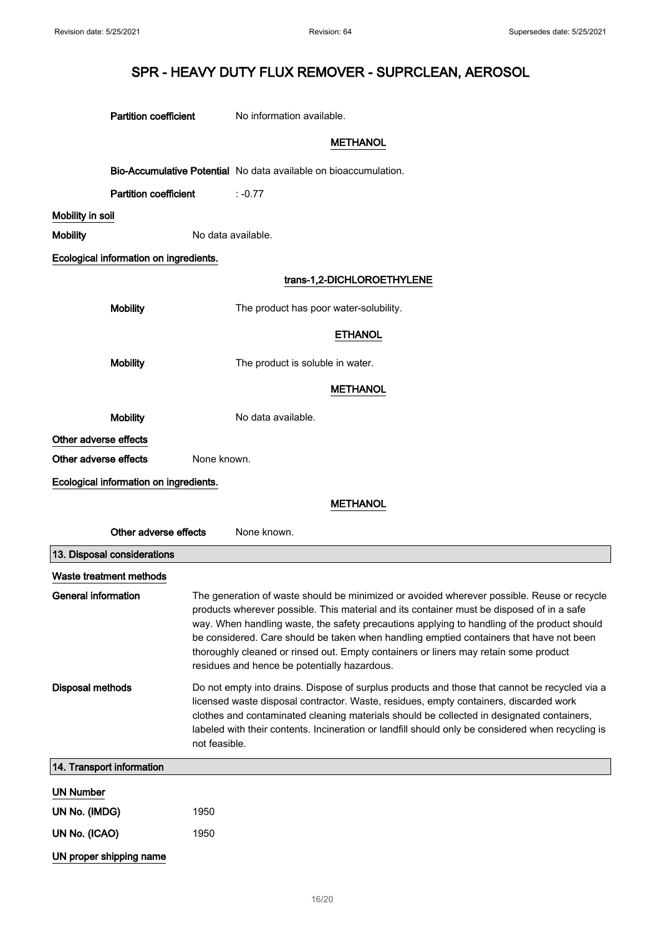|                             | <b>Partition coefficient</b>           | No information available.                                                                                                                                                                                                                                                                                                                                                                                                                                                                                                 |
|-----------------------------|----------------------------------------|---------------------------------------------------------------------------------------------------------------------------------------------------------------------------------------------------------------------------------------------------------------------------------------------------------------------------------------------------------------------------------------------------------------------------------------------------------------------------------------------------------------------------|
|                             |                                        | <b>METHANOL</b>                                                                                                                                                                                                                                                                                                                                                                                                                                                                                                           |
|                             |                                        | Bio-Accumulative Potential No data available on bioaccumulation.                                                                                                                                                                                                                                                                                                                                                                                                                                                          |
|                             | <b>Partition coefficient</b>           | $: -0.77$                                                                                                                                                                                                                                                                                                                                                                                                                                                                                                                 |
| Mobility in soil            |                                        |                                                                                                                                                                                                                                                                                                                                                                                                                                                                                                                           |
| <b>Mobility</b>             |                                        | No data available.                                                                                                                                                                                                                                                                                                                                                                                                                                                                                                        |
|                             | Ecological information on ingredients. |                                                                                                                                                                                                                                                                                                                                                                                                                                                                                                                           |
|                             |                                        | trans-1,2-DICHLOROETHYLENE                                                                                                                                                                                                                                                                                                                                                                                                                                                                                                |
|                             | <b>Mobility</b>                        | The product has poor water-solubility.                                                                                                                                                                                                                                                                                                                                                                                                                                                                                    |
|                             |                                        | <b>ETHANOL</b>                                                                                                                                                                                                                                                                                                                                                                                                                                                                                                            |
|                             | <b>Mobility</b>                        | The product is soluble in water.                                                                                                                                                                                                                                                                                                                                                                                                                                                                                          |
|                             |                                        | <b>METHANOL</b>                                                                                                                                                                                                                                                                                                                                                                                                                                                                                                           |
|                             | <b>Mobility</b>                        | No data available.                                                                                                                                                                                                                                                                                                                                                                                                                                                                                                        |
| Other adverse effects       |                                        |                                                                                                                                                                                                                                                                                                                                                                                                                                                                                                                           |
| Other adverse effects       | None known.                            |                                                                                                                                                                                                                                                                                                                                                                                                                                                                                                                           |
|                             | Ecological information on ingredients. |                                                                                                                                                                                                                                                                                                                                                                                                                                                                                                                           |
|                             |                                        | <b>METHANOL</b>                                                                                                                                                                                                                                                                                                                                                                                                                                                                                                           |
|                             | Other adverse effects                  | None known.                                                                                                                                                                                                                                                                                                                                                                                                                                                                                                               |
| 13. Disposal considerations |                                        |                                                                                                                                                                                                                                                                                                                                                                                                                                                                                                                           |
| Waste treatment methods     |                                        |                                                                                                                                                                                                                                                                                                                                                                                                                                                                                                                           |
| <b>General information</b>  |                                        | The generation of waste should be minimized or avoided wherever possible. Reuse or recycle<br>products wherever possible. This material and its container must be disposed of in a safe<br>way. When handling waste, the safety precautions applying to handling of the product should<br>be considered. Care should be taken when handling emptied containers that have not been<br>thoroughly cleaned or rinsed out. Empty containers or liners may retain some product<br>residues and hence be potentially hazardous. |
| <b>Disposal methods</b>     | not feasible.                          | Do not empty into drains. Dispose of surplus products and those that cannot be recycled via a<br>licensed waste disposal contractor. Waste, residues, empty containers, discarded work<br>clothes and contaminated cleaning materials should be collected in designated containers,<br>labeled with their contents. Incineration or landfill should only be considered when recycling is                                                                                                                                  |
| 14. Transport information   |                                        |                                                                                                                                                                                                                                                                                                                                                                                                                                                                                                                           |
| <b>UN Number</b>            |                                        |                                                                                                                                                                                                                                                                                                                                                                                                                                                                                                                           |
| UN No. (IMDG)               | 1950                                   |                                                                                                                                                                                                                                                                                                                                                                                                                                                                                                                           |
| UN No. (ICAO)               | 1950                                   |                                                                                                                                                                                                                                                                                                                                                                                                                                                                                                                           |
| UN proper shipping name     |                                        |                                                                                                                                                                                                                                                                                                                                                                                                                                                                                                                           |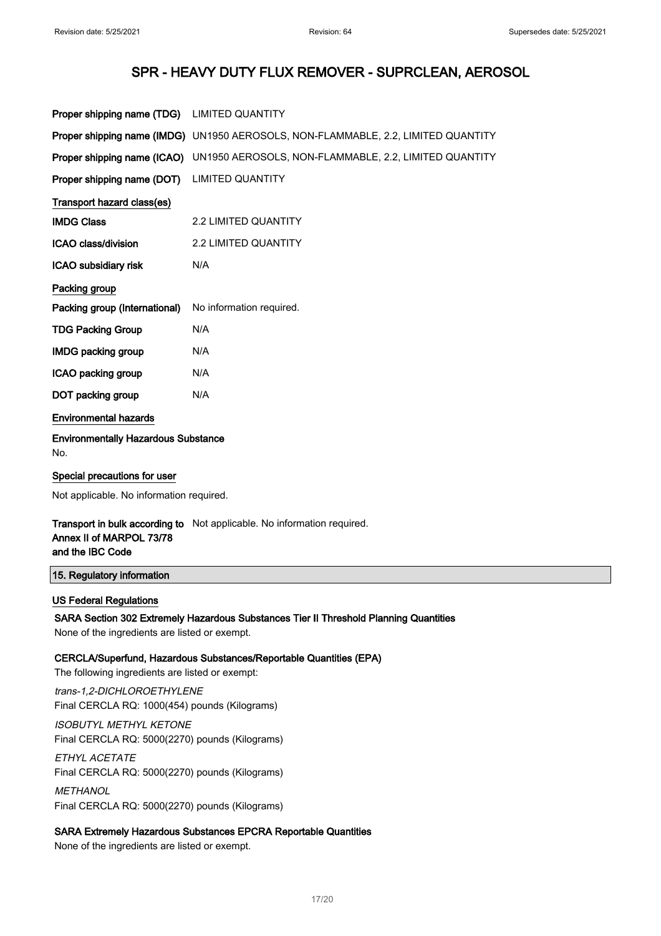| Proper shipping name (TDG)                        | <b>LIMITED QUANTITY</b>                                                           |
|---------------------------------------------------|-----------------------------------------------------------------------------------|
|                                                   | Proper shipping name (IMDG) UN1950 AEROSOLS, NON-FLAMMABLE, 2.2, LIMITED QUANTITY |
| Proper shipping name (ICAO)                       | UN1950 AEROSOLS, NON-FLAMMABLE, 2.2, LIMITED QUANTITY                             |
| Proper shipping name (DOT)                        | <b>LIMITED QUANTITY</b>                                                           |
| Transport hazard class(es)                        |                                                                                   |
| <b>IMDG Class</b>                                 | <b>2.2 LIMITED QUANTITY</b>                                                       |
| <b>ICAO class/division</b>                        | <b>2.2 LIMITED QUANTITY</b>                                                       |
| ICAO subsidiary risk                              | N/A                                                                               |
| Packing group                                     |                                                                                   |
| Packing group (International)                     | No information required.                                                          |
| <b>TDG Packing Group</b>                          | N/A                                                                               |
| <b>IMDG packing group</b>                         | N/A                                                                               |
| ICAO packing group                                | N/A                                                                               |
| DOT packing group                                 | N/A                                                                               |
| <b>Environmental hazards</b>                      |                                                                                   |
| <b>Environmentally Hazardous Substance</b><br>No. |                                                                                   |
| Special precautions for user                      |                                                                                   |

Not applicable. No information required.

**Transport in bulk according to** Not applicable. No information required. Annex II of MARPOL 73/78 and the IBC Code

#### 15. Regulatory information

### US Federal Regulations

SARA Section 302 Extremely Hazardous Substances Tier II Threshold Planning Quantities None of the ingredients are listed or exempt.

#### CERCLA/Superfund, Hazardous Substances/Reportable Quantities (EPA)

The following ingredients are listed or exempt:

trans-1,2-DICHLOROETHYLENE Final CERCLA RQ: 1000(454) pounds (Kilograms)

ISOBUTYL METHYL KETONE Final CERCLA RQ: 5000(2270) pounds (Kilograms)

ETHYL ACETATE Final CERCLA RQ: 5000(2270) pounds (Kilograms)

**METHANOL** Final CERCLA RQ: 5000(2270) pounds (Kilograms)

## SARA Extremely Hazardous Substances EPCRA Reportable Quantities

None of the ingredients are listed or exempt.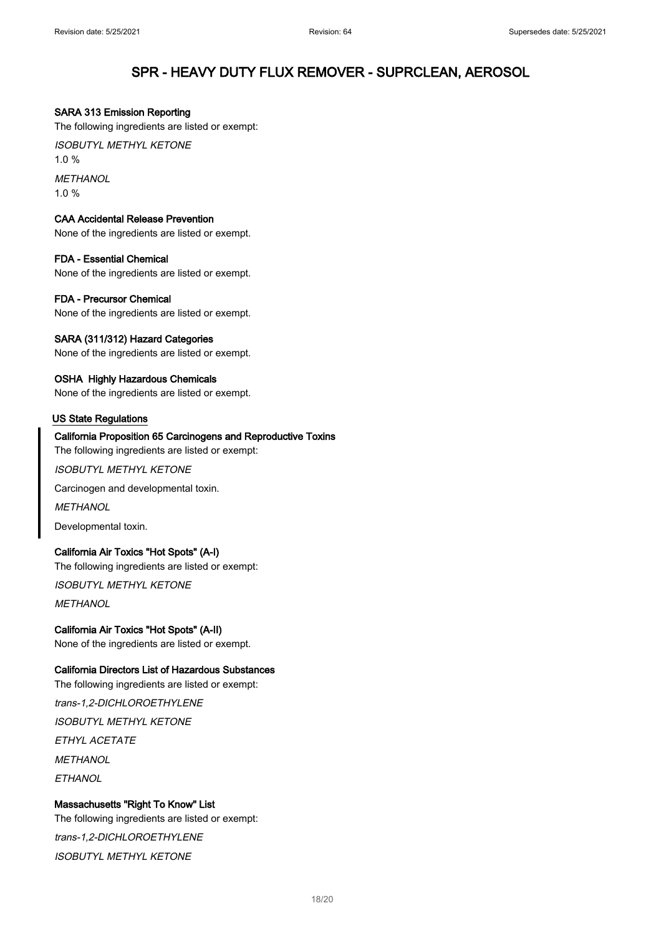#### SARA 313 Emission Reporting

The following ingredients are listed or exempt:

ISOBUTYL METHYL KETONE 1.0 %

**METHANOL** 1.0 %

#### CAA Accidental Release Prevention

None of the ingredients are listed or exempt.

### FDA - Essential Chemical

None of the ingredients are listed or exempt.

#### FDA - Precursor Chemical

None of the ingredients are listed or exempt.

#### SARA (311/312) Hazard Categories

None of the ingredients are listed or exempt.

#### OSHA Highly Hazardous Chemicals

None of the ingredients are listed or exempt.

#### US State Regulations

#### California Proposition 65 Carcinogens and Reproductive Toxins

The following ingredients are listed or exempt:

ISOBUTYL METHYL KETONE

Carcinogen and developmental toxin.

**METHANOL** 

Developmental toxin.

#### California Air Toxics "Hot Spots" (A-I)

The following ingredients are listed or exempt:

ISOBUTYL METHYL KETONE

**METHANOL** 

## California Air Toxics "Hot Spots" (A-II)

None of the ingredients are listed or exempt.

#### California Directors List of Hazardous Substances

The following ingredients are listed or exempt:

## trans-1,2-DICHLOROETHYLENE

ISOBUTYL METHYL KETONE

ETHYL ACETATE

**METHANOL** 

**FTHANOL** 

## Massachusetts "Right To Know" List

The following ingredients are listed or exempt:

trans-1,2-DICHLOROETHYLENE

ISOBUTYL METHYL KETONE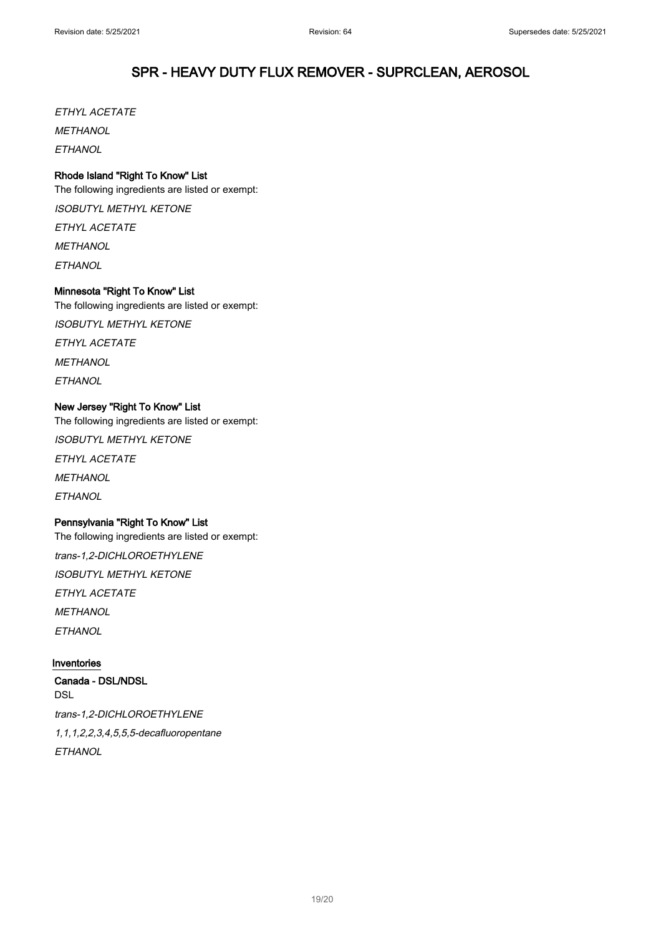ETHYL ACETATE **MFTHANOL ETHANOL** 

## Rhode Island "Right To Know" List

The following ingredients are listed or exempt: ISOBUTYL METHYL KETONE ETHYL ACETATE **METHANOL ETHANOL** 

## Minnesota "Right To Know" List

The following ingredients are listed or exempt:

ISOBUTYL METHYL KETONE

ETHYL ACETATE

**METHANOL** 

**ETHANOL** 

## New Jersey "Right To Know" List

The following ingredients are listed or exempt: ISOBUTYL METHYL KETONE ETHYL ACETATE **METHANOL ETHANOL** 

## Pennsylvania "Right To Know" List

The following ingredients are listed or exempt: trans-1,2-DICHLOROETHYLENE ISOBUTYL METHYL KETONE ETHYL ACETATE **METHANOL ETHANOL** 

## Inventories

Canada - DSL/NDSL DSL trans-1,2-DICHLOROETHYLENE 1,1,1,2,2,3,4,5,5,5-decafluoropentane **FTHANOL**